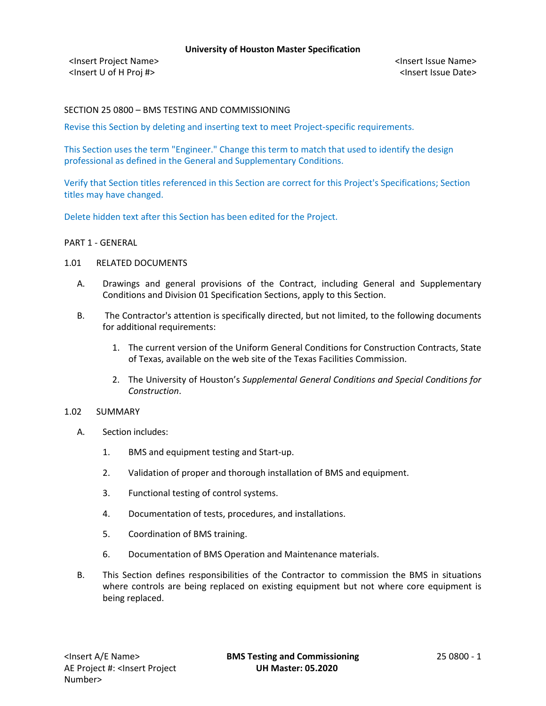<Insert Project Name> <Insert Issue Name> <Insert U of H Proj #> <Insert Issue Date>

# SECTION 25 0800 – BMS TESTING AND COMMISSIONING

Revise this Section by deleting and inserting text to meet Project-specific requirements.

This Section uses the term "Engineer." Change this term to match that used to identify the design professional as defined in the General and Supplementary Conditions.

Verify that Section titles referenced in this Section are correct for this Project's Specifications; Section titles may have changed.

Delete hidden text after this Section has been edited for the Project.

#### PART 1 - GENERAL

#### 1.01 RELATED DOCUMENTS

- A. Drawings and general provisions of the Contract, including General and Supplementary Conditions and Division 01 Specification Sections, apply to this Section.
- B. The Contractor's attention is specifically directed, but not limited, to the following documents for additional requirements:
	- 1. The current version of the Uniform General Conditions for Construction Contracts, State of Texas, available on the web site of the Texas Facilities Commission.
	- 2. The University of Houston's *Supplemental General Conditions and Special Conditions for Construction*.

### 1.02 SUMMARY

- A. Section includes:
	- 1. BMS and equipment testing and Start-up.
	- 2. Validation of proper and thorough installation of BMS and equipment.
	- 3. Functional testing of control systems.
	- 4. Documentation of tests, procedures, and installations.
	- 5. Coordination of BMS training.
	- 6. Documentation of BMS Operation and Maintenance materials.
- B. This Section defines responsibilities of the Contractor to commission the BMS in situations where controls are being replaced on existing equipment but not where core equipment is being replaced.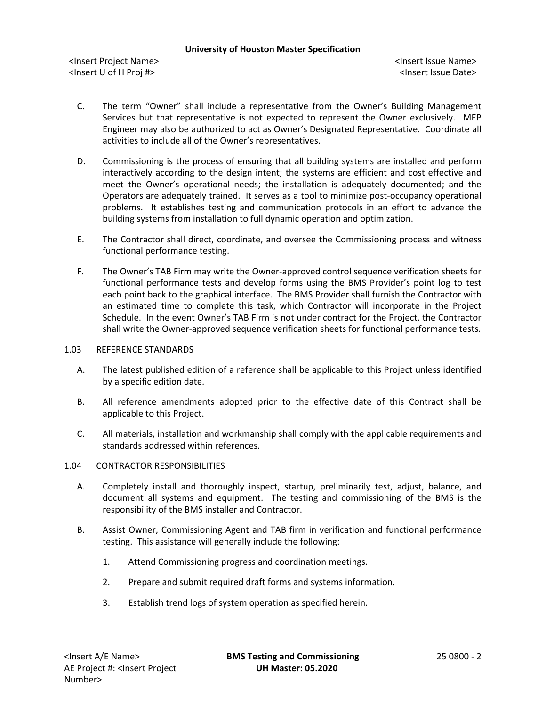<Insert Project Name> <Insert Issue Name> <Insert U of H Proj #> <Insert Issue Date>

- C. The term "Owner" shall include a representative from the Owner's Building Management Services but that representative is not expected to represent the Owner exclusively. MEP Engineer may also be authorized to act as Owner's Designated Representative. Coordinate all activities to include all of the Owner's representatives.
- D. Commissioning is the process of ensuring that all building systems are installed and perform interactively according to the design intent; the systems are efficient and cost effective and meet the Owner's operational needs; the installation is adequately documented; and the Operators are adequately trained. It serves as a tool to minimize post-occupancy operational problems. It establishes testing and communication protocols in an effort to advance the building systems from installation to full dynamic operation and optimization.
- E. The Contractor shall direct, coordinate, and oversee the Commissioning process and witness functional performance testing.
- F. The Owner's TAB Firm may write the Owner-approved control sequence verification sheets for functional performance tests and develop forms using the BMS Provider's point log to test each point back to the graphical interface. The BMS Provider shall furnish the Contractor with an estimated time to complete this task, which Contractor will incorporate in the Project Schedule. In the event Owner's TAB Firm is not under contract for the Project, the Contractor shall write the Owner-approved sequence verification sheets for functional performance tests.

### 1.03 REFERENCE STANDARDS

- A. The latest published edition of a reference shall be applicable to this Project unless identified by a specific edition date.
- B. All reference amendments adopted prior to the effective date of this Contract shall be applicable to this Project.
- C. All materials, installation and workmanship shall comply with the applicable requirements and standards addressed within references.

### 1.04 CONTRACTOR RESPONSIBILITIES

- A. Completely install and thoroughly inspect, startup, preliminarily test, adjust, balance, and document all systems and equipment. The testing and commissioning of the BMS is the responsibility of the BMS installer and Contractor.
- B. Assist Owner, Commissioning Agent and TAB firm in verification and functional performance testing. This assistance will generally include the following:
	- 1. Attend Commissioning progress and coordination meetings.
	- 2. Prepare and submit required draft forms and systems information.
	- 3. Establish trend logs of system operation as specified herein.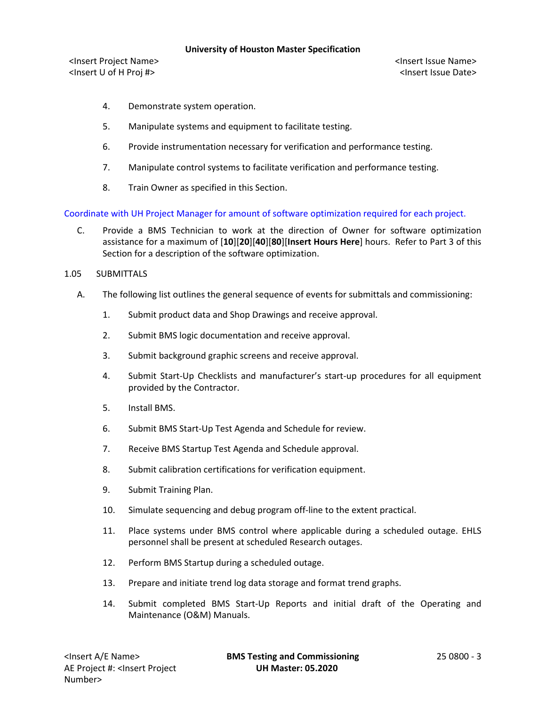<Insert Project Name> <Insert Issue Name> <Insert U of H Proj #> <Insert Issue Date>

- 4. Demonstrate system operation.
- 5. Manipulate systems and equipment to facilitate testing.
- 6. Provide instrumentation necessary for verification and performance testing.
- 7. Manipulate control systems to facilitate verification and performance testing.
- 8. Train Owner as specified in this Section.

Coordinate with UH Project Manager for amount of software optimization required for each project.

- C. Provide a BMS Technician to work at the direction of Owner for software optimization assistance for a maximum of [**10**][**20**][**40**][**80**][**Insert Hours Here**] hours. Refer to Part 3 of this Section for a description of the software optimization.
- 1.05 SUBMITTALS
	- A. The following list outlines the general sequence of events for submittals and commissioning:
		- 1. Submit product data and Shop Drawings and receive approval.
		- 2. Submit BMS logic documentation and receive approval.
		- 3. Submit background graphic screens and receive approval.
		- 4. Submit Start-Up Checklists and manufacturer's start-up procedures for all equipment provided by the Contractor.
		- 5. Install BMS.
		- 6. Submit BMS Start-Up Test Agenda and Schedule for review.
		- 7. Receive BMS Startup Test Agenda and Schedule approval.
		- 8. Submit calibration certifications for verification equipment.
		- 9. Submit Training Plan.
		- 10. Simulate sequencing and debug program off-line to the extent practical.
		- 11. Place systems under BMS control where applicable during a scheduled outage. EHLS personnel shall be present at scheduled Research outages.
		- 12. Perform BMS Startup during a scheduled outage.
		- 13. Prepare and initiate trend log data storage and format trend graphs.
		- 14. Submit completed BMS Start-Up Reports and initial draft of the Operating and Maintenance (O&M) Manuals.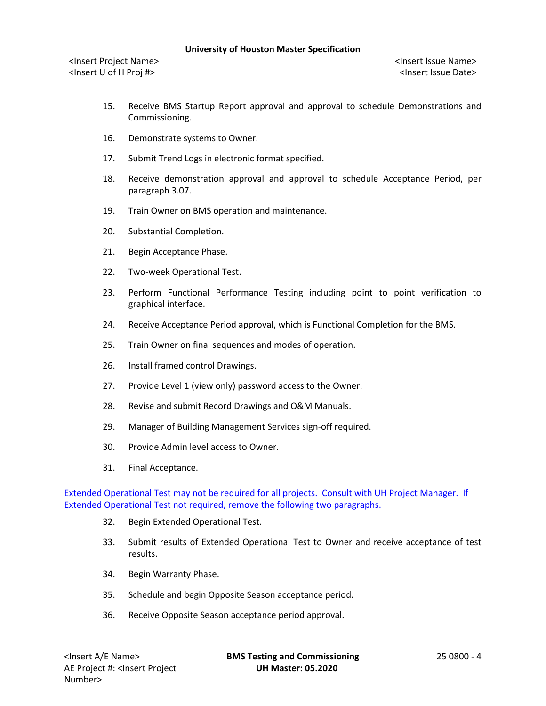<Insert Project Name> <Insert Issue Name> <Insert U of H Proj #> <Insert Issue Date>

- 15. Receive BMS Startup Report approval and approval to schedule Demonstrations and Commissioning.
- 16. Demonstrate systems to Owner.
- 17. Submit Trend Logs in electronic format specified.
- 18. Receive demonstration approval and approval to schedule Acceptance Period, per paragraph 3.07.
- 19. Train Owner on BMS operation and maintenance.
- 20. Substantial Completion.
- 21. Begin Acceptance Phase.
- 22. Two-week Operational Test.
- 23. Perform Functional Performance Testing including point to point verification to graphical interface.
- 24. Receive Acceptance Period approval, which is Functional Completion for the BMS.
- 25. Train Owner on final sequences and modes of operation.
- 26. Install framed control Drawings.
- 27. Provide Level 1 (view only) password access to the Owner.
- 28. Revise and submit Record Drawings and O&M Manuals.
- 29. Manager of Building Management Services sign-off required.
- 30. Provide Admin level access to Owner.
- 31. Final Acceptance.

Extended Operational Test may not be required for all projects. Consult with UH Project Manager. If Extended Operational Test not required, remove the following two paragraphs.

- 32. Begin Extended Operational Test.
- 33. Submit results of Extended Operational Test to Owner and receive acceptance of test results.
- 34. Begin Warranty Phase.
- 35. Schedule and begin Opposite Season acceptance period.
- 36. Receive Opposite Season acceptance period approval.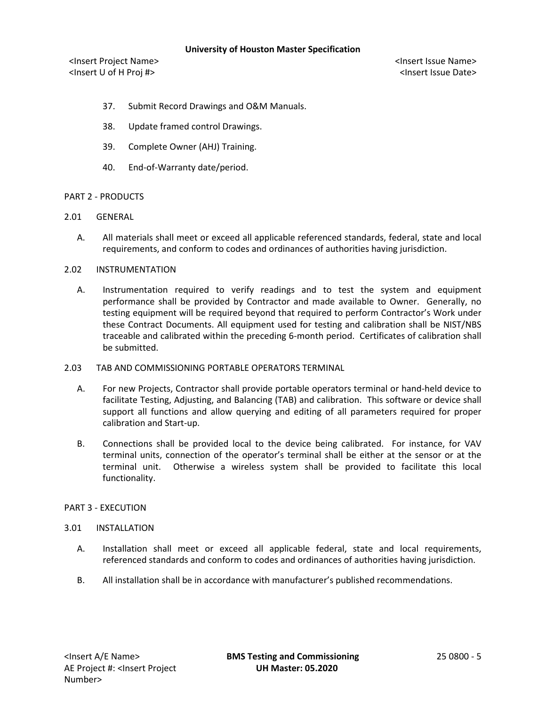<Insert Project Name> <Insert Issue Name> <Insert U of H Proj #> <Insert Issue Date>

- 37. Submit Record Drawings and O&M Manuals.
- 38. Update framed control Drawings.
- 39. Complete Owner (AHJ) Training.
- 40. End-of-Warranty date/period.

# PART 2 - PRODUCTS

- 2.01 GENERAL
	- A. All materials shall meet or exceed all applicable referenced standards, federal, state and local requirements, and conform to codes and ordinances of authorities having jurisdiction.

# 2.02 INSTRUMENTATION

- A. Instrumentation required to verify readings and to test the system and equipment performance shall be provided by Contractor and made available to Owner. Generally, no testing equipment will be required beyond that required to perform Contractor's Work under these Contract Documents. All equipment used for testing and calibration shall be NIST/NBS traceable and calibrated within the preceding 6-month period. Certificates of calibration shall be submitted.
- 2.03 TAB AND COMMISSIONING PORTABLE OPERATORS TERMINAL
	- A. For new Projects, Contractor shall provide portable operators terminal or hand-held device to facilitate Testing, Adjusting, and Balancing (TAB) and calibration. This software or device shall support all functions and allow querying and editing of all parameters required for proper calibration and Start-up.
	- B. Connections shall be provided local to the device being calibrated. For instance, for VAV terminal units, connection of the operator's terminal shall be either at the sensor or at the terminal unit. Otherwise a wireless system shall be provided to facilitate this local functionality.

### PART 3 - EXECUTION

### 3.01 INSTALLATION

- A. Installation shall meet or exceed all applicable federal, state and local requirements, referenced standards and conform to codes and ordinances of authorities having jurisdiction.
- B. All installation shall be in accordance with manufacturer's published recommendations.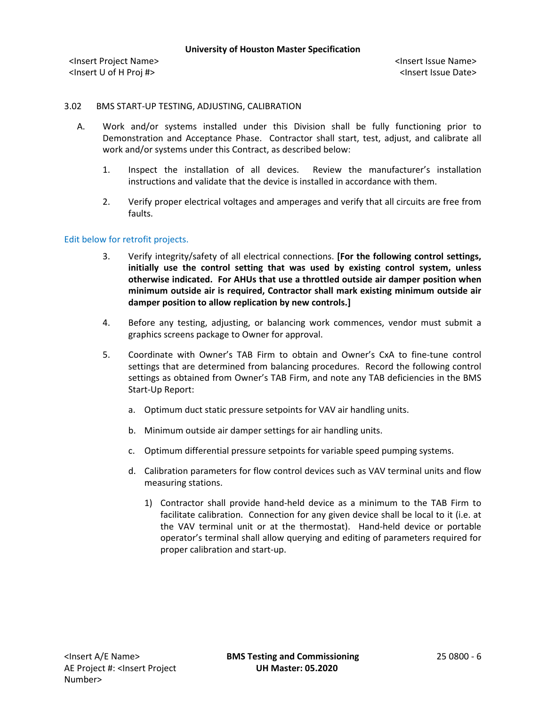# 3.02 BMS START-UP TESTING, ADJUSTING, CALIBRATION

- A. Work and/or systems installed under this Division shall be fully functioning prior to Demonstration and Acceptance Phase. Contractor shall start, test, adjust, and calibrate all work and/or systems under this Contract, as described below:
	- 1. Inspect the installation of all devices. Review the manufacturer's installation instructions and validate that the device is installed in accordance with them.
	- 2. Verify proper electrical voltages and amperages and verify that all circuits are free from faults.

# Edit below for retrofit projects.

- 3. Verify integrity/safety of all electrical connections. **[For the following control settings, initially use the control setting that was used by existing control system, unless otherwise indicated. For AHUs that use a throttled outside air damper position when minimum outside air is required, Contractor shall mark existing minimum outside air damper position to allow replication by new controls.]**
- 4. Before any testing, adjusting, or balancing work commences, vendor must submit a graphics screens package to Owner for approval.
- 5. Coordinate with Owner's TAB Firm to obtain and Owner's CxA to fine-tune control settings that are determined from balancing procedures. Record the following control settings as obtained from Owner's TAB Firm, and note any TAB deficiencies in the BMS Start-Up Report:
	- a. Optimum duct static pressure setpoints for VAV air handling units.
	- b. Minimum outside air damper settings for air handling units.
	- c. Optimum differential pressure setpoints for variable speed pumping systems.
	- d. Calibration parameters for flow control devices such as VAV terminal units and flow measuring stations.
		- 1) Contractor shall provide hand-held device as a minimum to the TAB Firm to facilitate calibration. Connection for any given device shall be local to it (i.e. at the VAV terminal unit or at the thermostat). Hand-held device or portable operator's terminal shall allow querying and editing of parameters required for proper calibration and start-up.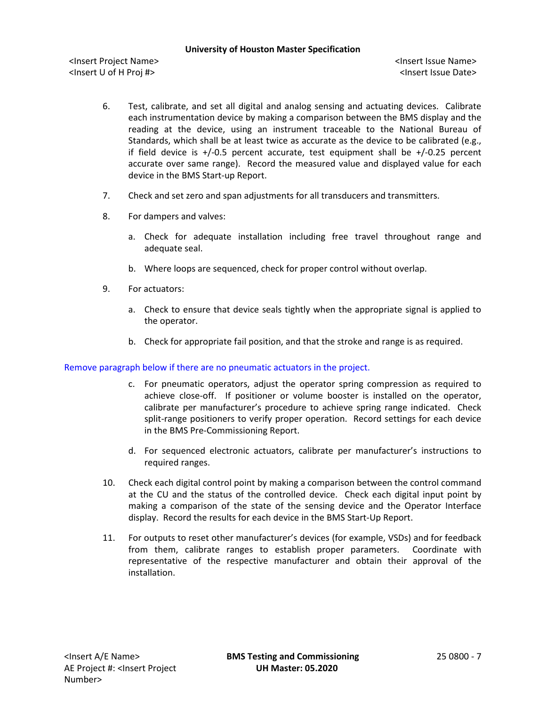<Insert Project Name> <Insert Issue Name> <Insert U of H Proj #> <Insert Issue Date>

- 6. Test, calibrate, and set all digital and analog sensing and actuating devices. Calibrate each instrumentation device by making a comparison between the BMS display and the reading at the device, using an instrument traceable to the National Bureau of Standards, which shall be at least twice as accurate as the device to be calibrated (e.g., if field device is  $+/0.5$  percent accurate, test equipment shall be  $+/0.25$  percent accurate over same range). Record the measured value and displayed value for each device in the BMS Start-up Report.
- 7. Check and set zero and span adjustments for all transducers and transmitters.
- 8. For dampers and valves:
	- a. Check for adequate installation including free travel throughout range and adequate seal.
	- b. Where loops are sequenced, check for proper control without overlap.
- 9. For actuators:
	- a. Check to ensure that device seals tightly when the appropriate signal is applied to the operator.
	- b. Check for appropriate fail position, and that the stroke and range is as required.

### Remove paragraph below if there are no pneumatic actuators in the project.

- c. For pneumatic operators, adjust the operator spring compression as required to achieve close-off. If positioner or volume booster is installed on the operator, calibrate per manufacturer's procedure to achieve spring range indicated. Check split-range positioners to verify proper operation. Record settings for each device in the BMS Pre-Commissioning Report.
- d. For sequenced electronic actuators, calibrate per manufacturer's instructions to required ranges.
- 10. Check each digital control point by making a comparison between the control command at the CU and the status of the controlled device. Check each digital input point by making a comparison of the state of the sensing device and the Operator Interface display. Record the results for each device in the BMS Start-Up Report.
- 11. For outputs to reset other manufacturer's devices (for example, VSDs) and for feedback from them, calibrate ranges to establish proper parameters. Coordinate with representative of the respective manufacturer and obtain their approval of the installation.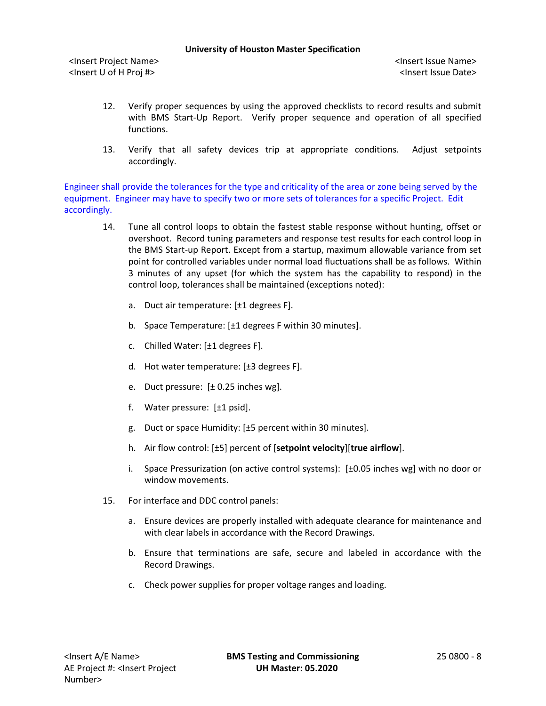<Insert Project Name> <Insert Issue Name> <Insert U of H Proj #> <Insert Issue Date>

- 12. Verify proper sequences by using the approved checklists to record results and submit with BMS Start-Up Report. Verify proper sequence and operation of all specified functions.
- 13. Verify that all safety devices trip at appropriate conditions. Adjust setpoints accordingly.

Engineer shall provide the tolerances for the type and criticality of the area or zone being served by the equipment. Engineer may have to specify two or more sets of tolerances for a specific Project. Edit accordingly.

- 14. Tune all control loops to obtain the fastest stable response without hunting, offset or overshoot. Record tuning parameters and response test results for each control loop in the BMS Start-up Report. Except from a startup, maximum allowable variance from set point for controlled variables under normal load fluctuations shall be as follows. Within 3 minutes of any upset (for which the system has the capability to respond) in the control loop, tolerances shall be maintained (exceptions noted):
	- a. Duct air temperature: [±1 degrees F].
	- b. Space Temperature: [±1 degrees F within 30 minutes].
	- c. Chilled Water: [±1 degrees F].
	- d. Hot water temperature: [±3 degrees F].
	- e. Duct pressure: [± 0.25 inches wg].
	- f. Water pressure: [±1 psid].
	- g. Duct or space Humidity: [±5 percent within 30 minutes].
	- h. Air flow control: [±5] percent of [**setpoint velocity**][**true airflow**].
	- i. Space Pressurization (on active control systems): [±0.05 inches wg] with no door or window movements.
- 15. For interface and DDC control panels:
	- a. Ensure devices are properly installed with adequate clearance for maintenance and with clear labels in accordance with the Record Drawings.
	- b. Ensure that terminations are safe, secure and labeled in accordance with the Record Drawings.
	- c. Check power supplies for proper voltage ranges and loading.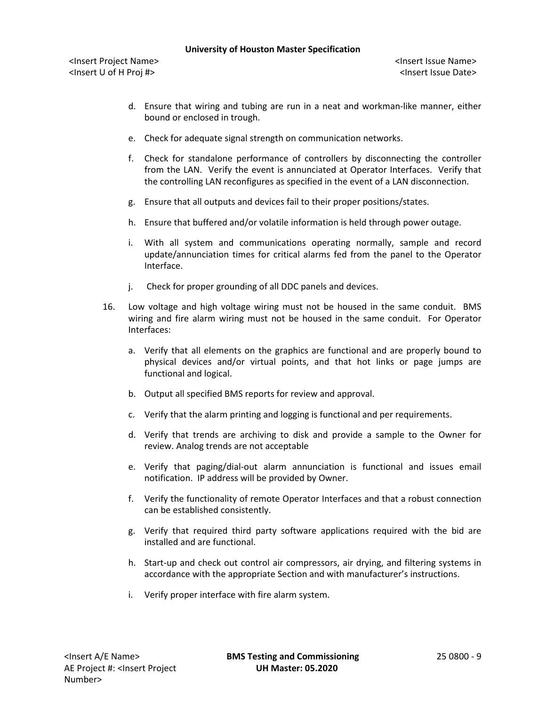<Insert Project Name> <Insert Issue Name> <Insert U of H Proj #> <Insert Issue Date>

- d. Ensure that wiring and tubing are run in a neat and workman-like manner, either bound or enclosed in trough.
- e. Check for adequate signal strength on communication networks.
- f. Check for standalone performance of controllers by disconnecting the controller from the LAN. Verify the event is annunciated at Operator Interfaces. Verify that the controlling LAN reconfigures as specified in the event of a LAN disconnection.
- g. Ensure that all outputs and devices fail to their proper positions/states.
- h. Ensure that buffered and/or volatile information is held through power outage.
- i. With all system and communications operating normally, sample and record update/annunciation times for critical alarms fed from the panel to the Operator Interface.
- j. Check for proper grounding of all DDC panels and devices.
- 16. Low voltage and high voltage wiring must not be housed in the same conduit. BMS wiring and fire alarm wiring must not be housed in the same conduit. For Operator Interfaces:
	- a. Verify that all elements on the graphics are functional and are properly bound to physical devices and/or virtual points, and that hot links or page jumps are functional and logical.
	- b. Output all specified BMS reports for review and approval.
	- c. Verify that the alarm printing and logging is functional and per requirements.
	- d. Verify that trends are archiving to disk and provide a sample to the Owner for review. Analog trends are not acceptable
	- e. Verify that paging/dial-out alarm annunciation is functional and issues email notification. IP address will be provided by Owner.
	- f. Verify the functionality of remote Operator Interfaces and that a robust connection can be established consistently.
	- g. Verify that required third party software applications required with the bid are installed and are functional.
	- h. Start-up and check out control air compressors, air drying, and filtering systems in accordance with the appropriate Section and with manufacturer's instructions.
	- i. Verify proper interface with fire alarm system.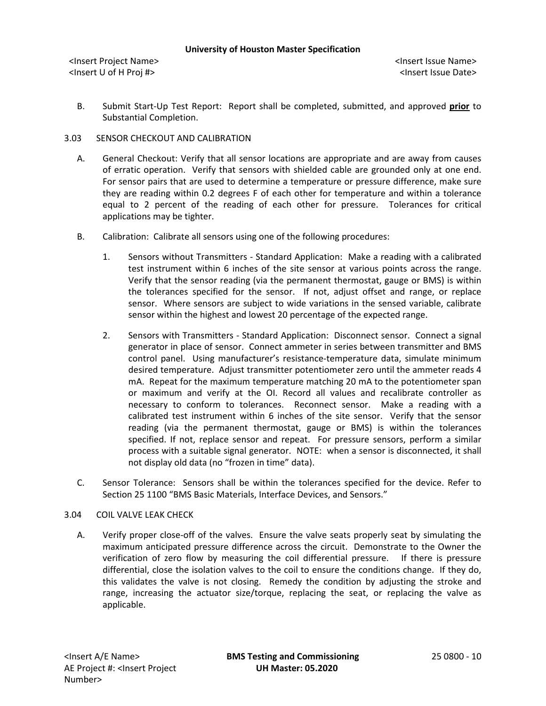B. Submit Start-Up Test Report: Report shall be completed, submitted, and approved **prior** to Substantial Completion.

# 3.03 SENSOR CHECKOUT AND CALIBRATION

- A. General Checkout: Verify that all sensor locations are appropriate and are away from causes of erratic operation. Verify that sensors with shielded cable are grounded only at one end. For sensor pairs that are used to determine a temperature or pressure difference, make sure they are reading within 0.2 degrees F of each other for temperature and within a tolerance equal to 2 percent of the reading of each other for pressure. Tolerances for critical applications may be tighter.
- B. Calibration: Calibrate all sensors using one of the following procedures:
	- 1. Sensors without Transmitters Standard Application: Make a reading with a calibrated test instrument within 6 inches of the site sensor at various points across the range. Verify that the sensor reading (via the permanent thermostat, gauge or BMS) is within the tolerances specified for the sensor. If not, adjust offset and range, or replace sensor. Where sensors are subject to wide variations in the sensed variable, calibrate sensor within the highest and lowest 20 percentage of the expected range.
	- 2. Sensors with Transmitters Standard Application: Disconnect sensor. Connect a signal generator in place of sensor. Connect ammeter in series between transmitter and BMS control panel. Using manufacturer's resistance-temperature data, simulate minimum desired temperature. Adjust transmitter potentiometer zero until the ammeter reads 4 mA. Repeat for the maximum temperature matching 20 mA to the potentiometer span or maximum and verify at the OI. Record all values and recalibrate controller as necessary to conform to tolerances. Reconnect sensor. Make a reading with a calibrated test instrument within 6 inches of the site sensor. Verify that the sensor reading (via the permanent thermostat, gauge or BMS) is within the tolerances specified. If not, replace sensor and repeat. For pressure sensors, perform a similar process with a suitable signal generator. NOTE: when a sensor is disconnected, it shall not display old data (no "frozen in time" data).
- C. Sensor Tolerance: Sensors shall be within the tolerances specified for the device. Refer to Section 25 1100 "BMS Basic Materials, Interface Devices, and Sensors."

### 3.04 COIL VALVE LEAK CHECK

A. Verify proper close-off of the valves. Ensure the valve seats properly seat by simulating the maximum anticipated pressure difference across the circuit. Demonstrate to the Owner the verification of zero flow by measuring the coil differential pressure. If there is pressure differential, close the isolation valves to the coil to ensure the conditions change. If they do, this validates the valve is not closing. Remedy the condition by adjusting the stroke and range, increasing the actuator size/torque, replacing the seat, or replacing the valve as applicable.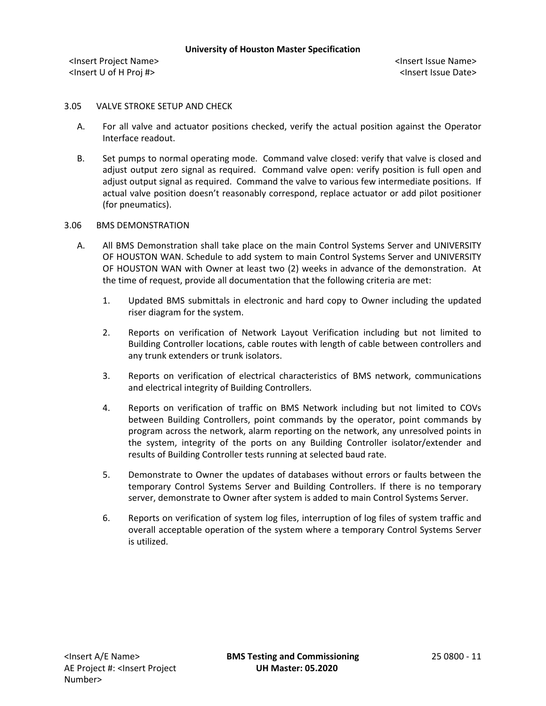# 3.05 VALVE STROKE SETUP AND CHECK

- A. For all valve and actuator positions checked, verify the actual position against the Operator Interface readout.
- B. Set pumps to normal operating mode. Command valve closed: verify that valve is closed and adjust output zero signal as required. Command valve open: verify position is full open and adjust output signal as required. Command the valve to various few intermediate positions. If actual valve position doesn't reasonably correspond, replace actuator or add pilot positioner (for pneumatics).

# 3.06 BMS DEMONSTRATION

- A. All BMS Demonstration shall take place on the main Control Systems Server and UNIVERSITY OF HOUSTON WAN. Schedule to add system to main Control Systems Server and UNIVERSITY OF HOUSTON WAN with Owner at least two (2) weeks in advance of the demonstration. At the time of request, provide all documentation that the following criteria are met:
	- 1. Updated BMS submittals in electronic and hard copy to Owner including the updated riser diagram for the system.
	- 2. Reports on verification of Network Layout Verification including but not limited to Building Controller locations, cable routes with length of cable between controllers and any trunk extenders or trunk isolators.
	- 3. Reports on verification of electrical characteristics of BMS network, communications and electrical integrity of Building Controllers.
	- 4. Reports on verification of traffic on BMS Network including but not limited to COVs between Building Controllers, point commands by the operator, point commands by program across the network, alarm reporting on the network, any unresolved points in the system, integrity of the ports on any Building Controller isolator/extender and results of Building Controller tests running at selected baud rate.
	- 5. Demonstrate to Owner the updates of databases without errors or faults between the temporary Control Systems Server and Building Controllers. If there is no temporary server, demonstrate to Owner after system is added to main Control Systems Server.
	- 6. Reports on verification of system log files, interruption of log files of system traffic and overall acceptable operation of the system where a temporary Control Systems Server is utilized.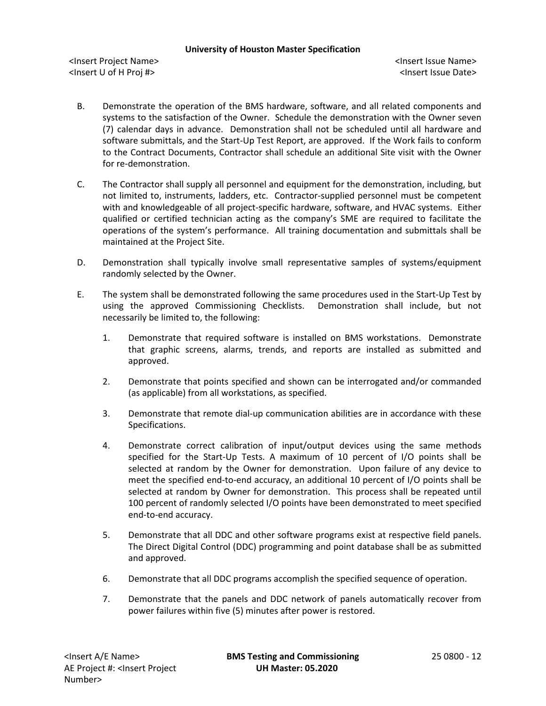<Insert Project Name> <Insert Issue Name> <Insert U of H Proj #> <Insert Issue Date>

- B. Demonstrate the operation of the BMS hardware, software, and all related components and systems to the satisfaction of the Owner. Schedule the demonstration with the Owner seven (7) calendar days in advance. Demonstration shall not be scheduled until all hardware and software submittals, and the Start-Up Test Report, are approved. If the Work fails to conform to the Contract Documents, Contractor shall schedule an additional Site visit with the Owner for re-demonstration.
- C. The Contractor shall supply all personnel and equipment for the demonstration, including, but not limited to, instruments, ladders, etc. Contractor-supplied personnel must be competent with and knowledgeable of all project-specific hardware, software, and HVAC systems. Either qualified or certified technician acting as the company's SME are required to facilitate the operations of the system's performance. All training documentation and submittals shall be maintained at the Project Site.
- D. Demonstration shall typically involve small representative samples of systems/equipment randomly selected by the Owner.
- E. The system shall be demonstrated following the same procedures used in the Start-Up Test by using the approved Commissioning Checklists. Demonstration shall include, but not necessarily be limited to, the following:
	- 1. Demonstrate that required software is installed on BMS workstations. Demonstrate that graphic screens, alarms, trends, and reports are installed as submitted and approved.
	- 2. Demonstrate that points specified and shown can be interrogated and/or commanded (as applicable) from all workstations, as specified.
	- 3. Demonstrate that remote dial-up communication abilities are in accordance with these Specifications.
	- 4. Demonstrate correct calibration of input/output devices using the same methods specified for the Start-Up Tests. A maximum of 10 percent of I/O points shall be selected at random by the Owner for demonstration. Upon failure of any device to meet the specified end-to-end accuracy, an additional 10 percent of I/O points shall be selected at random by Owner for demonstration. This process shall be repeated until 100 percent of randomly selected I/O points have been demonstrated to meet specified end-to-end accuracy.
	- 5. Demonstrate that all DDC and other software programs exist at respective field panels. The Direct Digital Control (DDC) programming and point database shall be as submitted and approved.
	- 6. Demonstrate that all DDC programs accomplish the specified sequence of operation.
	- 7. Demonstrate that the panels and DDC network of panels automatically recover from power failures within five (5) minutes after power is restored.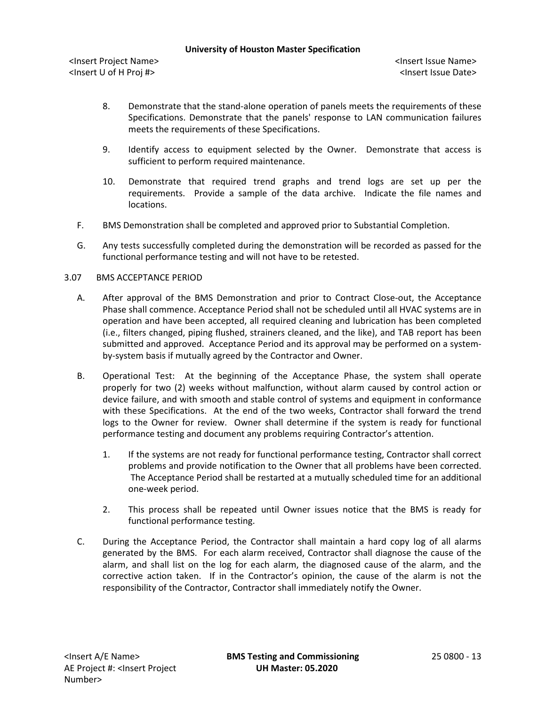<Insert Project Name> <Insert Issue Name> <Insert U of H Proj #> <Insert Issue Date>

- 8. Demonstrate that the stand-alone operation of panels meets the requirements of these Specifications. Demonstrate that the panels' response to LAN communication failures meets the requirements of these Specifications.
- 9. Identify access to equipment selected by the Owner. Demonstrate that access is sufficient to perform required maintenance.
- 10. Demonstrate that required trend graphs and trend logs are set up per the requirements. Provide a sample of the data archive. Indicate the file names and locations.
- F. BMS Demonstration shall be completed and approved prior to Substantial Completion.
- G. Any tests successfully completed during the demonstration will be recorded as passed for the functional performance testing and will not have to be retested.

# 3.07 BMS ACCEPTANCE PERIOD

- A. After approval of the BMS Demonstration and prior to Contract Close-out, the Acceptance Phase shall commence. Acceptance Period shall not be scheduled until all HVAC systems are in operation and have been accepted, all required cleaning and lubrication has been completed (i.e., filters changed, piping flushed, strainers cleaned, and the like), and TAB report has been submitted and approved. Acceptance Period and its approval may be performed on a systemby-system basis if mutually agreed by the Contractor and Owner.
- B. Operational Test: At the beginning of the Acceptance Phase, the system shall operate properly for two (2) weeks without malfunction, without alarm caused by control action or device failure, and with smooth and stable control of systems and equipment in conformance with these Specifications. At the end of the two weeks, Contractor shall forward the trend logs to the Owner for review. Owner shall determine if the system is ready for functional performance testing and document any problems requiring Contractor's attention.
	- 1. If the systems are not ready for functional performance testing, Contractor shall correct problems and provide notification to the Owner that all problems have been corrected. The Acceptance Period shall be restarted at a mutually scheduled time for an additional one-week period.
	- 2. This process shall be repeated until Owner issues notice that the BMS is ready for functional performance testing.
- C. During the Acceptance Period, the Contractor shall maintain a hard copy log of all alarms generated by the BMS. For each alarm received, Contractor shall diagnose the cause of the alarm, and shall list on the log for each alarm, the diagnosed cause of the alarm, and the corrective action taken. If in the Contractor's opinion, the cause of the alarm is not the responsibility of the Contractor, Contractor shall immediately notify the Owner.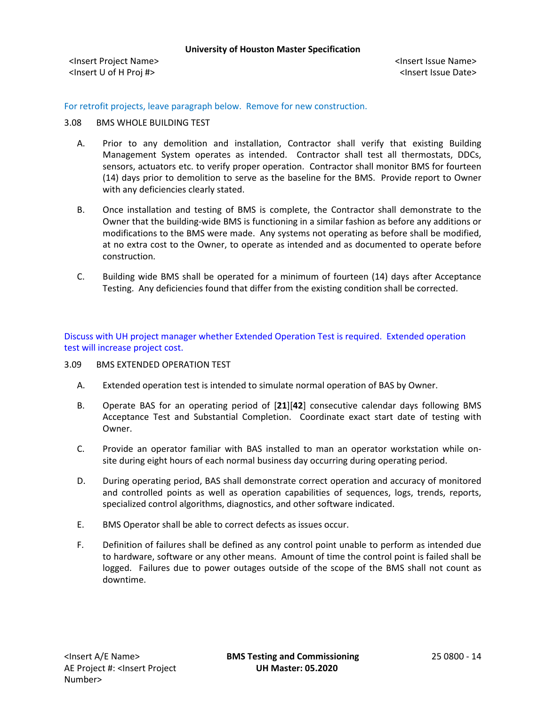For retrofit projects, leave paragraph below. Remove for new construction.

# 3.08 BMS WHOLE BUILDING TEST

- A. Prior to any demolition and installation, Contractor shall verify that existing Building Management System operates as intended. Contractor shall test all thermostats, DDCs, sensors, actuators etc. to verify proper operation. Contractor shall monitor BMS for fourteen (14) days prior to demolition to serve as the baseline for the BMS. Provide report to Owner with any deficiencies clearly stated.
- B. Once installation and testing of BMS is complete, the Contractor shall demonstrate to the Owner that the building-wide BMS is functioning in a similar fashion as before any additions or modifications to the BMS were made. Any systems not operating as before shall be modified, at no extra cost to the Owner, to operate as intended and as documented to operate before construction.
- C. Building wide BMS shall be operated for a minimum of fourteen (14) days after Acceptance Testing. Any deficiencies found that differ from the existing condition shall be corrected.

Discuss with UH project manager whether Extended Operation Test is required. Extended operation test will increase project cost.

- 3.09 BMS EXTENDED OPERATION TEST
	- A. Extended operation test is intended to simulate normal operation of BAS by Owner.
	- B. Operate BAS for an operating period of [**21**][**42**] consecutive calendar days following BMS Acceptance Test and Substantial Completion. Coordinate exact start date of testing with Owner.
	- C. Provide an operator familiar with BAS installed to man an operator workstation while onsite during eight hours of each normal business day occurring during operating period.
	- D. During operating period, BAS shall demonstrate correct operation and accuracy of monitored and controlled points as well as operation capabilities of sequences, logs, trends, reports, specialized control algorithms, diagnostics, and other software indicated.
	- E. BMS Operator shall be able to correct defects as issues occur.
	- F. Definition of failures shall be defined as any control point unable to perform as intended due to hardware, software or any other means. Amount of time the control point is failed shall be logged. Failures due to power outages outside of the scope of the BMS shall not count as downtime.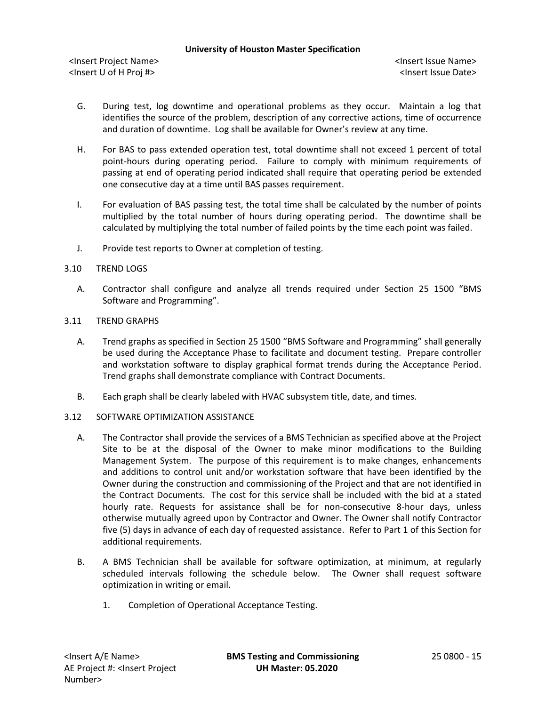<Insert Project Name> <Insert Issue Name> <Insert U of H Proj #> <Insert Issue Date>

- G. During test, log downtime and operational problems as they occur. Maintain a log that identifies the source of the problem, description of any corrective actions, time of occurrence and duration of downtime. Log shall be available for Owner's review at any time.
- H. For BAS to pass extended operation test, total downtime shall not exceed 1 percent of total point-hours during operating period. Failure to comply with minimum requirements of passing at end of operating period indicated shall require that operating period be extended one consecutive day at a time until BAS passes requirement.
- I. For evaluation of BAS passing test, the total time shall be calculated by the number of points multiplied by the total number of hours during operating period. The downtime shall be calculated by multiplying the total number of failed points by the time each point was failed.
- J. Provide test reports to Owner at completion of testing.
- 3.10 TREND LOGS
	- A. Contractor shall configure and analyze all trends required under Section 25 1500 "BMS Software and Programming".
- 3.11 TREND GRAPHS
	- A. Trend graphs as specified in Section 25 1500 "BMS Software and Programming" shall generally be used during the Acceptance Phase to facilitate and document testing. Prepare controller and workstation software to display graphical format trends during the Acceptance Period. Trend graphs shall demonstrate compliance with Contract Documents.
	- B. Each graph shall be clearly labeled with HVAC subsystem title, date, and times.
- 3.12 SOFTWARE OPTIMIZATION ASSISTANCE
	- A. The Contractor shall provide the services of a BMS Technician as specified above at the Project Site to be at the disposal of the Owner to make minor modifications to the Building Management System. The purpose of this requirement is to make changes, enhancements and additions to control unit and/or workstation software that have been identified by the Owner during the construction and commissioning of the Project and that are not identified in the Contract Documents. The cost for this service shall be included with the bid at a stated hourly rate. Requests for assistance shall be for non-consecutive 8-hour days, unless otherwise mutually agreed upon by Contractor and Owner. The Owner shall notify Contractor five (5) days in advance of each day of requested assistance. Refer to Part 1 of this Section for additional requirements.
	- B. A BMS Technician shall be available for software optimization, at minimum, at regularly scheduled intervals following the schedule below. The Owner shall request software optimization in writing or email.
		- 1. Completion of Operational Acceptance Testing.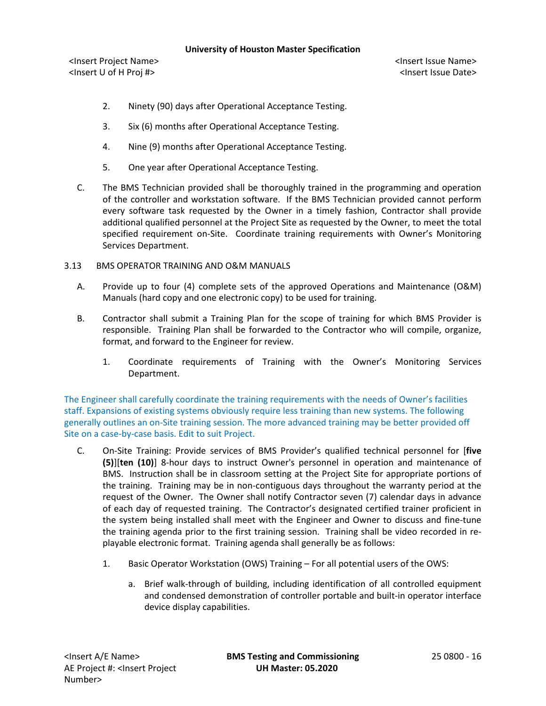<Insert Project Name> <Insert Issue Name> <Insert U of H Proj #> <Insert Issue Date>

- 2. Ninety (90) days after Operational Acceptance Testing.
- 3. Six (6) months after Operational Acceptance Testing.
- 4. Nine (9) months after Operational Acceptance Testing.
- 5. One year after Operational Acceptance Testing.
- C. The BMS Technician provided shall be thoroughly trained in the programming and operation of the controller and workstation software. If the BMS Technician provided cannot perform every software task requested by the Owner in a timely fashion, Contractor shall provide additional qualified personnel at the Project Site as requested by the Owner, to meet the total specified requirement on-Site. Coordinate training requirements with Owner's Monitoring Services Department.
- 3.13 BMS OPERATOR TRAINING AND O&M MANUALS
	- A. Provide up to four (4) complete sets of the approved Operations and Maintenance (O&M) Manuals (hard copy and one electronic copy) to be used for training.
	- B. Contractor shall submit a Training Plan for the scope of training for which BMS Provider is responsible. Training Plan shall be forwarded to the Contractor who will compile, organize, format, and forward to the Engineer for review.
		- 1. Coordinate requirements of Training with the Owner's Monitoring Services Department.

The Engineer shall carefully coordinate the training requirements with the needs of Owner's facilities staff. Expansions of existing systems obviously require less training than new systems. The following generally outlines an on-Site training session. The more advanced training may be better provided off Site on a case-by-case basis. Edit to suit Project.

- C. On-Site Training: Provide services of BMS Provider's qualified technical personnel for [**five (5)**][**ten (10)**] 8-hour days to instruct Owner's personnel in operation and maintenance of BMS. Instruction shall be in classroom setting at the Project Site for appropriate portions of the training. Training may be in non-contiguous days throughout the warranty period at the request of the Owner. The Owner shall notify Contractor seven (7) calendar days in advance of each day of requested training. The Contractor's designated certified trainer proficient in the system being installed shall meet with the Engineer and Owner to discuss and fine-tune the training agenda prior to the first training session. Training shall be video recorded in replayable electronic format. Training agenda shall generally be as follows:
	- 1. Basic Operator Workstation (OWS) Training For all potential users of the OWS:
		- a. Brief walk-through of building, including identification of all controlled equipment and condensed demonstration of controller portable and built-in operator interface device display capabilities.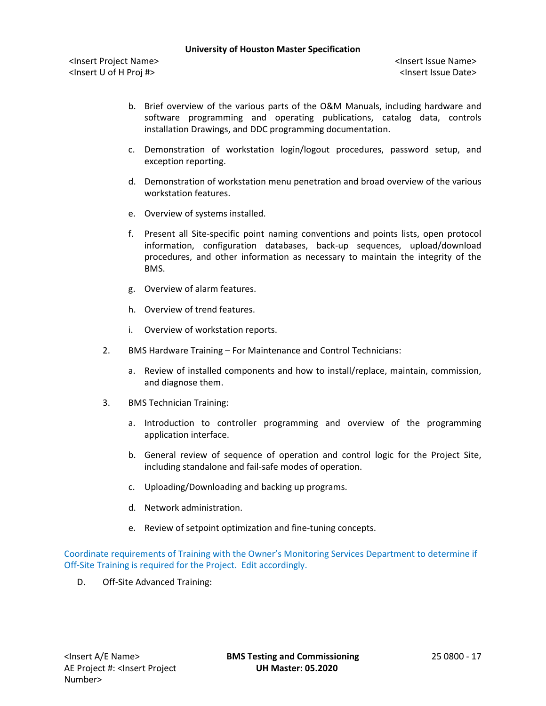<Insert Project Name> <Insert Issue Name> <Insert U of H Proj #> <Insert Issue Date>

- b. Brief overview of the various parts of the O&M Manuals, including hardware and software programming and operating publications, catalog data, controls installation Drawings, and DDC programming documentation.
- c. Demonstration of workstation login/logout procedures, password setup, and exception reporting.
- d. Demonstration of workstation menu penetration and broad overview of the various workstation features.
- e. Overview of systems installed.
- f. Present all Site-specific point naming conventions and points lists, open protocol information, configuration databases, back-up sequences, upload/download procedures, and other information as necessary to maintain the integrity of the BMS.
- g. Overview of alarm features.
- h. Overview of trend features.
- i. Overview of workstation reports.
- 2. BMS Hardware Training For Maintenance and Control Technicians:
	- a. Review of installed components and how to install/replace, maintain, commission, and diagnose them.
- 3. BMS Technician Training:
	- a. Introduction to controller programming and overview of the programming application interface.
	- b. General review of sequence of operation and control logic for the Project Site, including standalone and fail-safe modes of operation.
	- c. Uploading/Downloading and backing up programs.
	- d. Network administration.
	- e. Review of setpoint optimization and fine-tuning concepts.

Coordinate requirements of Training with the Owner's Monitoring Services Department to determine if Off-Site Training is required for the Project. Edit accordingly.

D. Off-Site Advanced Training: